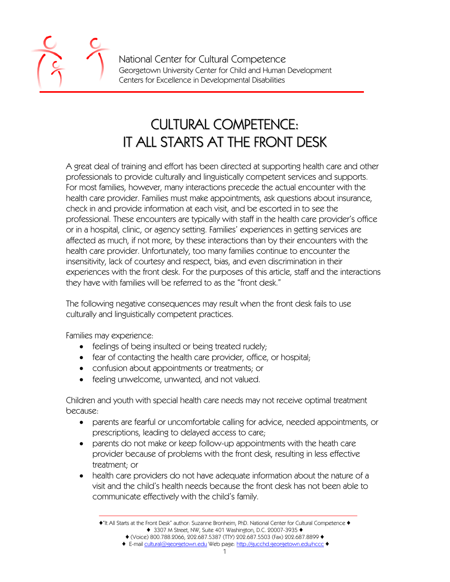National Center for Cultural Competence Georgetown University Center for Child and Human Development Centers for Excellence in Developmental Disabilities

## CULTURAL COMPETENCE: IT ALL STARTS AT THE FRONT DESK

A great deal of training and effort has been directed at supporting health care and other professionals to provide culturally and linguistically competent services and supports. For most families, however, many interactions precede the actual encounter with the health care provider. Families must make appointments, ask questions about insurance, check in and provide information at each visit, and be escorted in to see the professional. These encounters are typically with staff in the health care provider's office or in a hospital, clinic, or agency setting. Families' experiences in getting services are affected as much, if not more, by these interactions than by their encounters with the health care provider. Unfortunately, too many families continue to encounter the insensitivity, lack of courtesy and respect, bias, and even discrimination in their experiences with the front desk. For the purposes of this article, staff and the interactions they have with families will be referred to as the "front desk."

The following negative consequences may result when the front desk fails to use culturally and linguistically competent practices.

Families may experience:

- feelings of being insulted or being treated rudely;
- fear of contacting the health care provider, office, or hospital;
- confusion about appointments or treatments; or
- feeling unwelcome, unwanted, and not valued.

Children and youth with special health care needs may not receive optimal treatment because:

- parents are fearful or uncomfortable calling for advice, needed appointments, or prescriptions, leading to delayed access to care;
- parents do not make or keep follow-up appointments with the heath care provider because of problems with the front desk, resulting in less effective treatment; or
- health care providers do not have adequate information about the nature of a visit and the child's health needs because the front desk has not been able to communicate effectively with the child's family.

<sup>♦</sup>"It All Starts at the Front Desk" author: Suzanne Bronheim, PhD. National Center for Cultural Competence ♦ ♦ 3307 M Street, NW, Suite 401 Washington, D.C. 20007-3935 ♦

<sup>♦</sup> (Voice) 800.788.2066, 202.687.5387 (TTY) 202.687.5503 (Fax) 202.687.8899 ♦

<sup>♦</sup> E-mail cultural@georgetown.edu Web page: http://gucchd.georgetown.edu/nccc ♦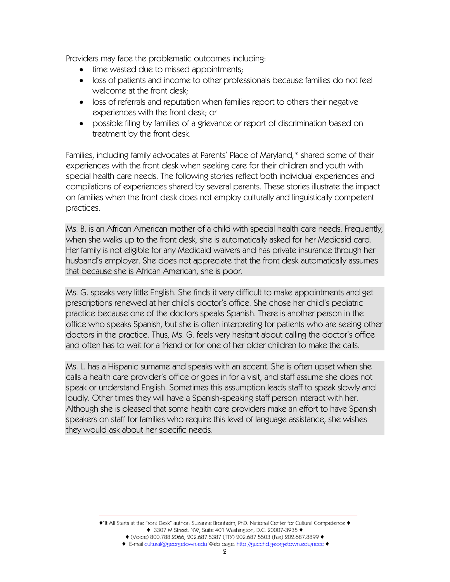Providers may face the problematic outcomes including:

- time wasted due to missed appointments;
- loss of patients and income to other professionals because families do not feel welcome at the front desk;
- loss of referrals and reputation when families report to others their negative experiences with the front desk; or
- possible filing by families of a grievance or report of discrimination based on treatment by the front desk.

Families, including family advocates at Parents' Place of Maryland,\* shared some of their experiences with the front desk when seeking care for their children and youth with special health care needs. The following stories reflect both individual experiences and compilations of experiences shared by several parents. These stories illustrate the impact on families when the front desk does not employ culturally and linguistically competent practices.

Ms. B. is an African American mother of a child with special health care needs. Frequently, when she walks up to the front desk, she is automatically asked for her Medicaid card. Her family is not eligible for any Medicaid waivers and has private insurance through her husband's employer. She does not appreciate that the front desk automatically assumes that because she is African American, she is poor.

Ms. G. speaks very little English. She finds it very difficult to make appointments and get prescriptions renewed at her child's doctor's office. She chose her child's pediatric practice because one of the doctors speaks Spanish. There is another person in the office who speaks Spanish, but she is often interpreting for patients who are seeing other doctors in the practice. Thus, Ms. G. feels very hesitant about calling the doctor's office and often has to wait for a friend or for one of her older children to make the calls.

Ms. L. has a Hispanic surname and speaks with an accent. She is often upset when she calls a health care provider's office or goes in for a visit, and staff assume she does not speak or understand English. Sometimes this assumption leads staff to speak slowly and loudly. Other times they will have a Spanish-speaking staff person interact with her. Although she is pleased that some health care providers make an effort to have Spanish speakers on staff for families who require this level of language assistance, she wishes they would ask about her specific needs.

<sup>♦</sup>"It All Starts at the Front Desk" author: Suzanne Bronheim, PhD. National Center for Cultural Competence ♦ ♦ 3307 M Street, NW, Suite 401 Washington, D.C. 20007-3935 ♦ ♦ (Voice) 800.788.2066, 202.687.5387 (TTY) 202.687.5503 (Fax) 202.687.8899 ♦

<sup>♦</sup> E-mail cultural@georgetown.edu Web page: http://gucchd.georgetown.edu/nccc ♦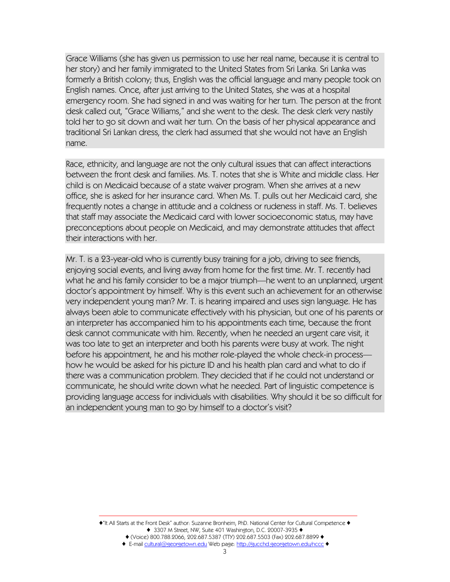Grace Williams (she has given us permission to use her real name, because it is central to her story) and her family immigrated to the United States from Sri Lanka. Sri Lanka was formerly a British colony; thus, English was the official language and many people took on English names. Once, after just arriving to the United States, she was at a hospital emergency room. She had signed in and was waiting for her turn. The person at the front desk called out, "Grace Williams," and she went to the desk. The desk clerk very nastily told her to go sit down and wait her turn. On the basis of her physical appearance and traditional Sri Lankan dress, the clerk had assumed that she would not have an English name.

Race, ethnicity, and language are not the only cultural issues that can affect interactions between the front desk and families. Ms. T. notes that she is White and middle class. Her child is on Medicaid because of a state waiver program. When she arrives at a new office, she is asked for her insurance card. When Ms. T. pulls out her Medicaid card, she frequently notes a change in attitude and a coldness or rudeness in staff. Ms. T. believes that staff may associate the Medicaid card with lower socioeconomic status, may have preconceptions about people on Medicaid, and may demonstrate attitudes that affect their interactions with her.

Mr. T. is a 23-year-old who is currently busy training for a job, driving to see friends, enjoying social events, and living away from home for the first time. Mr. T. recently had what he and his family consider to be a major triumph—he went to an unplanned, urgent doctor's appointment by himself. Why is this event such an achievement for an otherwise very independent young man? Mr. T. is hearing impaired and uses sign language. He has always been able to communicate effectively with his physician, but one of his parents or an interpreter has accompanied him to his appointments each time, because the front desk cannot communicate with him. Recently, when he needed an urgent care visit, it was too late to get an interpreter and both his parents were busy at work. The night before his appointment, he and his mother role-played the whole check-in process how he would be asked for his picture ID and his health plan card and what to do if there was a communication problem. They decided that if he could not understand or communicate, he should write down what he needed. Part of linguistic competence is providing language access for individuals with disabilities. Why should it be so difficult for an independent young man to go by himself to a doctor's visit?

<sup>♦</sup>"It All Starts at the Front Desk" author: Suzanne Bronheim, PhD. National Center for Cultural Competence ♦ ♦ 3307 M Street, NW, Suite 401 Washington, D.C. 20007-3935 ♦ ♦ (Voice) 800.788.2066, 202.687.5387 (TTY) 202.687.5503 (Fax) 202.687.8899 ♦

<sup>♦</sup> E-mail cultural@georgetown.edu Web page: http://gucchd.georgetown.edu/nccc ♦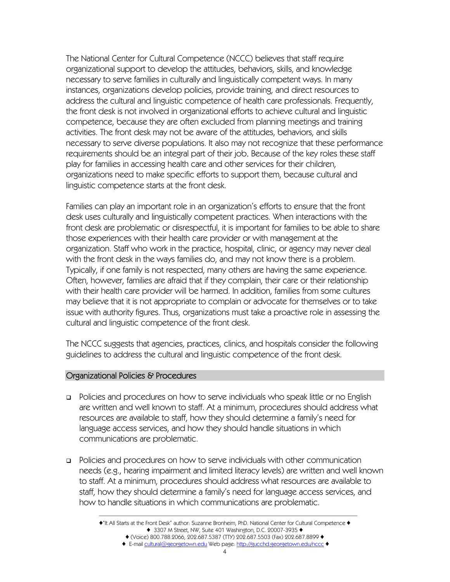The National Center for Cultural Competence (NCCC) believes that staff require organizational support to develop the attitudes, behaviors, skills, and knowledge necessary to serve families in culturally and linguistically competent ways. In many instances, organizations develop policies, provide training, and direct resources to address the cultural and linguistic competence of health care professionals. Frequently, the front desk is not involved in organizational efforts to achieve cultural and linguistic competence, because they are often excluded from planning meetings and training activities. The front desk may not be aware of the attitudes, behaviors, and skills necessary to serve diverse populations. It also may not recognize that these performance requirements should be an integral part of their job. Because of the key roles these staff play for families in accessing health care and other services for their children, organizations need to make specific efforts to support them, because cultural and linguistic competence starts at the front desk.

Families can play an important role in an organization's efforts to ensure that the front desk uses culturally and linguistically competent practices. When interactions with the front desk are problematic or disrespectful, it is important for families to be able to share those experiences with their health care provider or with management at the organization. Staff who work in the practice, hospital, clinic, or agency may never deal with the front desk in the ways families do, and may not know there is a problem. Typically, if one family is not respected, many others are having the same experience. Often, however, families are afraid that if they complain, their care or their relationship with their health care provider will be harmed. In addition, families from some cultures may believe that it is not appropriate to complain or advocate for themselves or to take issue with authority figures. Thus, organizations must take a proactive role in assessing the cultural and linguistic competence of the front desk.

The NCCC suggests that agencies, practices, clinics, and hospitals consider the following guidelines to address the cultural and linguistic competence of the front desk.

## Organizational Policies & Procedures

- Policies and procedures on how to serve individuals who speak little or no English are written and well known to staff. At a minimum, procedures should address what resources are available to staff, how they should determine a family's need for language access services, and how they should handle situations in which communications are problematic.
- Policies and procedures on how to serve individuals with other communication needs (e.g., hearing impairment and limited literacy levels) are written and well known to staff. At a minimum, procedures should address what resources are available to staff, how they should determine a family's need for language access services, and how to handle situations in which communications are problematic.

<sup>♦</sup>"It All Starts at the Front Desk" author: Suzanne Bronheim, PhD. National Center for Cultural Competence ♦ ♦ 3307 M Street, NW, Suite 401 Washington, D.C. 20007-3935 ♦ ♦ (Voice) 800.788.2066, 202.687.5387 (TTY) 202.687.5503 (Fax) 202.687.8899 ♦

<sup>♦</sup> E-mail cultural@georgetown.edu Web page: http://gucchd.georgetown.edu/nccc ♦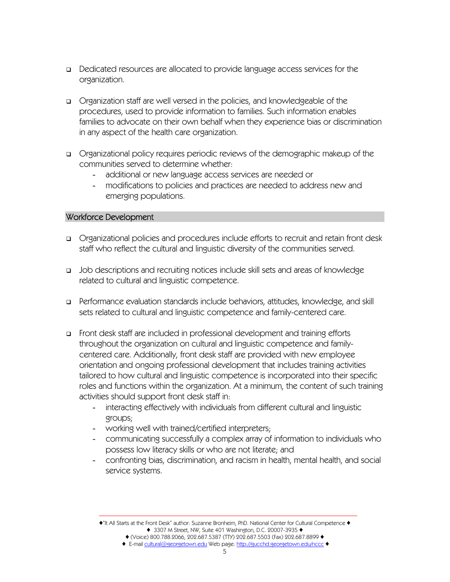- Dedicated resources are allocated to provide language access services for the organization.
- Organization staff are well versed in the policies, and knowledgeable of the procedures, used to provide information to families. Such information enables families to advocate on their own behalf when they experience bias or discrimination in any aspect of the health care organization.
- Organizational policy requires periodic reviews of the demographic makeup of the communities served to determine whether:
	- additional or new language access services are needed or
	- modifications to policies and practices are needed to address new and emerging populations.

## Workforce Development

- Organizational policies and procedures include efforts to recruit and retain front desk staff who reflect the cultural and linguistic diversity of the communities served.
- Job descriptions and recruiting notices include skill sets and areas of knowledge related to cultural and linguistic competence.
- Performance evaluation standards include behaviors, attitudes, knowledge, and skill sets related to cultural and linguistic competence and family-centered care.
- Front desk staff are included in professional development and training efforts throughout the organization on cultural and linguistic competence and familycentered care. Additionally, front desk staff are provided with new employee orientation and ongoing professional development that includes training activities tailored to how cultural and linguistic competence is incorporated into their specific roles and functions within the organization. At a minimum, the content of such training activities should support front desk staff in:
	- interacting effectively with individuals from different cultural and linguistic groups;
	- working well with trained/certified interpreters;
	- communicating successfully a complex array of information to individuals who possess low literacy skills or who are not literate; and
	- confronting bias, discrimination, and racism in health, mental health, and social service systems.

<sup>♦</sup>"It All Starts at the Front Desk" author: Suzanne Bronheim, PhD. National Center for Cultural Competence ♦ ♦ 3307 M Street, NW, Suite 401 Washington, D.C. 20007-3935 ♦

<sup>♦</sup> (Voice) 800.788.2066, 202.687.5387 (TTY) 202.687.5503 (Fax) 202.687.8899 ♦ ♦ E-mail cultural@georgetown.edu Web page: http://gucchd.georgetown.edu/nccc ♦